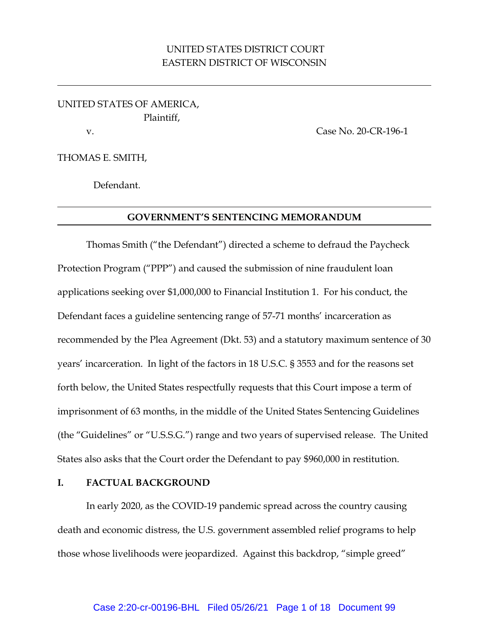# UNITED STATES DISTRICT COURT EASTERN DISTRICT OF WISCONSIN

UNITED STATES OF AMERICA, Plaintiff, v. Case No. 20-CR-196-1

THOMAS E. SMITH,

Defendant.

#### **GOVERNMENT'S SENTENCING MEMORANDUM**

Thomas Smith ("the Defendant") directed a scheme to defraud the Paycheck Protection Program ("PPP") and caused the submission of nine fraudulent loan applications seeking over \$1,000,000 to Financial Institution 1. For his conduct, the Defendant faces a guideline sentencing range of 57-71 months' incarceration as recommended by the Plea Agreement (Dkt. 53) and a statutory maximum sentence of 30 years' incarceration. In light of the factors in 18 U.S.C. § 3553 and for the reasons set forth below, the United States respectfully requests that this Court impose a term of imprisonment of 63 months, in the middle of the United States Sentencing Guidelines (the "Guidelines" or "U.S.S.G.") range and two years of supervised release. The United States also asks that the Court order the Defendant to pay \$960,000 in restitution.

#### **I. FACTUAL BACKGROUND**

In early 2020, as the COVID-19 pandemic spread across the country causing death and economic distress, the U.S. government assembled relief programs to help those whose livelihoods were jeopardized. Against this backdrop, "simple greed"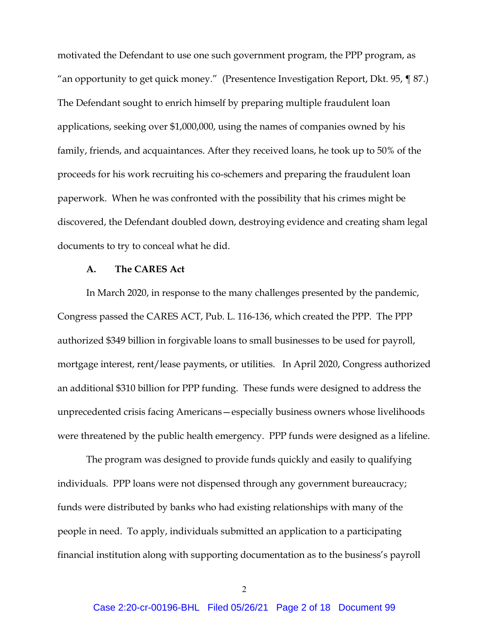motivated the Defendant to use one such government program, the PPP program, as "an opportunity to get quick money." (Presentence Investigation Report, Dkt. 95, ¶ 87.) The Defendant sought to enrich himself by preparing multiple fraudulent loan applications, seeking over \$1,000,000, using the names of companies owned by his family, friends, and acquaintances. After they received loans, he took up to 50% of the proceeds for his work recruiting his co-schemers and preparing the fraudulent loan paperwork. When he was confronted with the possibility that his crimes might be discovered, the Defendant doubled down, destroying evidence and creating sham legal documents to try to conceal what he did.

#### **A. The CARES Act**

In March 2020, in response to the many challenges presented by the pandemic, Congress passed the CARES ACT, Pub. L. 116-136, which created the PPP. The PPP authorized \$349 billion in forgivable loans to small businesses to be used for payroll, mortgage interest, rent/lease payments, or utilities. In April 2020, Congress authorized an additional \$310 billion for PPP funding. These funds were designed to address the unprecedented crisis facing Americans—especially business owners whose livelihoods were threatened by the public health emergency. PPP funds were designed as a lifeline.

The program was designed to provide funds quickly and easily to qualifying individuals. PPP loans were not dispensed through any government bureaucracy; funds were distributed by banks who had existing relationships with many of the people in need. To apply, individuals submitted an application to a participating financial institution along with supporting documentation as to the business's payroll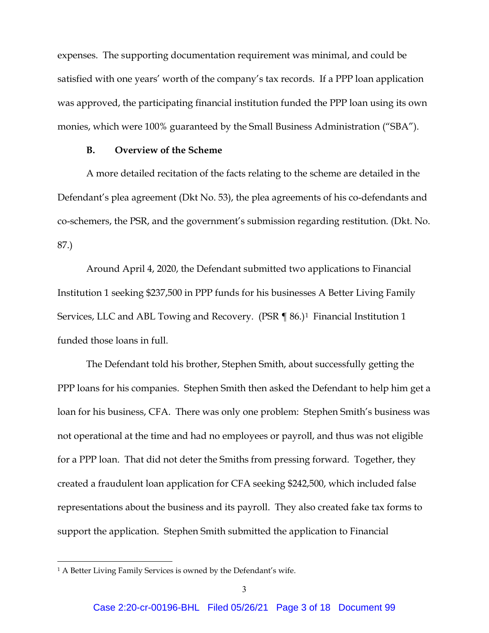expenses. The supporting documentation requirement was minimal, and could be satisfied with one years' worth of the company's tax records. If a PPP loan application was approved, the participating financial institution funded the PPP loan using its own monies, which were 100% guaranteed by the Small Business Administration ("SBA").

#### **B. Overview of the Scheme**

A more detailed recitation of the facts relating to the scheme are detailed in the Defendant's plea agreement (Dkt No. 53), the plea agreements of his co-defendants and co-schemers, the PSR, and the government's submission regarding restitution. (Dkt. No. 87.)

Around April 4, 2020, the Defendant submitted two applications to Financial Institution 1 seeking \$237,500 in PPP funds for his businesses A Better Living Family Services, LLC and ABL Towing and Recovery. (PSR ¶ 86.)<sup>[1](#page-2-0)</sup> Financial Institution 1 funded those loans in full.

The Defendant told his brother, Stephen Smith, about successfully getting the PPP loans for his companies. Stephen Smith then asked the Defendant to help him get a loan for his business, CFA. There was only one problem: Stephen Smith's business was not operational at the time and had no employees or payroll, and thus was not eligible for a PPP loan. That did not deter the Smiths from pressing forward. Together, they created a fraudulent loan application for CFA seeking \$242,500, which included false representations about the business and its payroll. They also created fake tax forms to support the application. Stephen Smith submitted the application to Financial

<span id="page-2-0"></span><sup>&</sup>lt;sup>1</sup> A Better Living Family Services is owned by the Defendant's wife.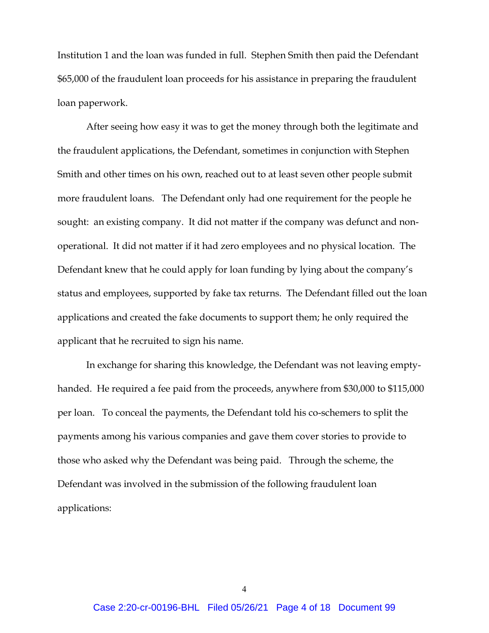Institution 1 and the loan was funded in full. Stephen Smith then paid the Defendant \$65,000 of the fraudulent loan proceeds for his assistance in preparing the fraudulent loan paperwork.

After seeing how easy it was to get the money through both the legitimate and the fraudulent applications, the Defendant, sometimes in conjunction with Stephen Smith and other times on his own, reached out to at least seven other people submit more fraudulent loans. The Defendant only had one requirement for the people he sought: an existing company. It did not matter if the company was defunct and nonoperational. It did not matter if it had zero employees and no physical location. The Defendant knew that he could apply for loan funding by lying about the company's status and employees, supported by fake tax returns. The Defendant filled out the loan applications and created the fake documents to support them; he only required the applicant that he recruited to sign his name.

In exchange for sharing this knowledge, the Defendant was not leaving emptyhanded. He required a fee paid from the proceeds, anywhere from \$30,000 to \$115,000 per loan. To conceal the payments, the Defendant told his co-schemers to split the payments among his various companies and gave them cover stories to provide to those who asked why the Defendant was being paid. Through the scheme, the Defendant was involved in the submission of the following fraudulent loan applications:

4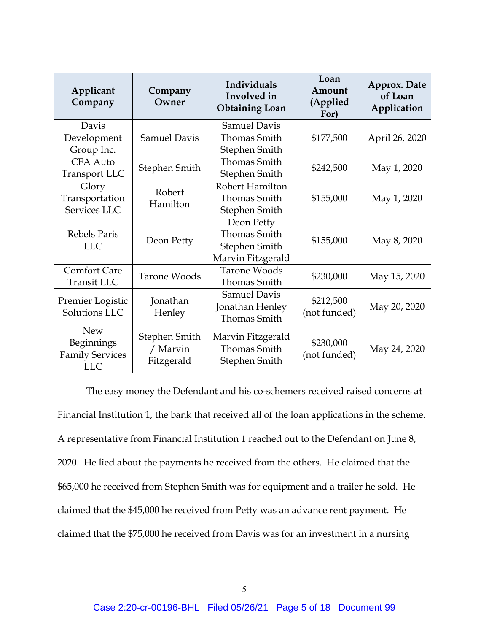| Applicant<br>Company              | Company<br>Owner                        | Individuals<br>Involved in<br><b>Obtaining Loan</b> | Loan<br>Amount<br>(Applied<br>For) | Approx. Date<br>of Loan<br>Application |
|-----------------------------------|-----------------------------------------|-----------------------------------------------------|------------------------------------|----------------------------------------|
| Davis                             |                                         | <b>Samuel Davis</b>                                 |                                    |                                        |
| Development                       | <b>Samuel Davis</b>                     | Thomas Smith                                        | \$177,500                          | April 26, 2020                         |
| Group Inc.                        |                                         | Stephen Smith                                       |                                    |                                        |
| CFA Auto                          | Stephen Smith                           | <b>Thomas Smith</b>                                 | \$242,500                          | May 1, 2020                            |
| <b>Transport LLC</b>              |                                         | Stephen Smith                                       |                                    |                                        |
| Glory                             | Robert<br>Hamilton                      | Robert Hamilton                                     | \$155,000                          | May 1, 2020                            |
| Transportation                    |                                         | <b>Thomas Smith</b>                                 |                                    |                                        |
| Services LLC                      |                                         | Stephen Smith                                       |                                    |                                        |
| Rebels Paris<br><b>LLC</b>        | Deon Petty                              | Deon Petty                                          | \$155,000                          | May 8, 2020                            |
|                                   |                                         | <b>Thomas Smith</b>                                 |                                    |                                        |
|                                   |                                         | Stephen Smith                                       |                                    |                                        |
|                                   |                                         | Marvin Fitzgerald                                   |                                    |                                        |
| <b>Comfort Care</b>               | <b>Tarone Woods</b>                     | <b>Tarone Woods</b>                                 | \$230,000                          | May 15, 2020                           |
| Transit LLC                       |                                         | <b>Thomas Smith</b>                                 |                                    |                                        |
| Premier Logistic<br>Solutions LLC | Jonathan<br>Henley                      | <b>Samuel Davis</b>                                 | \$212,500<br>(not funded)          | May 20, 2020                           |
|                                   |                                         | Jonathan Henley                                     |                                    |                                        |
|                                   |                                         | <b>Thomas Smith</b>                                 |                                    |                                        |
| <b>New</b>                        | Stephen Smith<br>/ Marvin<br>Fitzgerald | Marvin Fitzgerald                                   | \$230,000<br>(not funded)          | May 24, 2020                           |
| Beginnings                        |                                         | <b>Thomas Smith</b>                                 |                                    |                                        |
| <b>Family Services</b>            |                                         | Stephen Smith                                       |                                    |                                        |
| <b>LLC</b>                        |                                         |                                                     |                                    |                                        |

The easy money the Defendant and his co-schemers received raised concerns at Financial Institution 1, the bank that received all of the loan applications in the scheme. A representative from Financial Institution 1 reached out to the Defendant on June 8, 2020. He lied about the payments he received from the others. He claimed that the \$65,000 he received from Stephen Smith was for equipment and a trailer he sold. He claimed that the \$45,000 he received from Petty was an advance rent payment. He claimed that the \$75,000 he received from Davis was for an investment in a nursing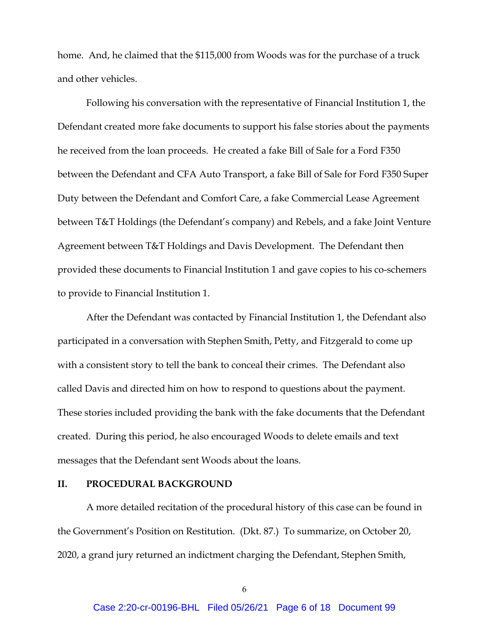home. And, he claimed that the \$115,000 from Woods was for the purchase of a truck and other vehicles.

Following his conversation with the representative of Financial Institution 1, the Defendant created more fake documents to support his false stories about the payments he received from the loan proceeds. He created a fake Bill of Sale for a Ford F350 between the Defendant and CFA Auto Transport, a fake Bill of Sale for Ford F350 Super Duty between the Defendant and Comfort Care, a fake Commercial Lease Agreement between T&T Holdings (the Defendant's company) and Rebels, and a fake Joint Venture Agreement between T&T Holdings and Davis Development. The Defendant then provided these documents to Financial Institution 1 and gave copies to his co-schemers to provide to Financial Institution 1.

After the Defendant was contacted by Financial Institution 1, the Defendant also participated in a conversation with Stephen Smith, Petty, and Fitzgerald to come up with a consistent story to tell the bank to conceal their crimes. The Defendant also called Davis and directed him on how to respond to questions about the payment. These stories included providing the bank with the fake documents that the Defendant created. During this period, he also encouraged Woods to delete emails and text messages that the Defendant sent Woods about the loans.

#### **II. PROCEDURAL BACKGROUND**

A more detailed recitation of the procedural history of this case can be found in the Government's Position on Restitution. (Dkt. 87.) To summarize, on October 20, 2020, a grand jury returned an indictment charging the Defendant, Stephen Smith,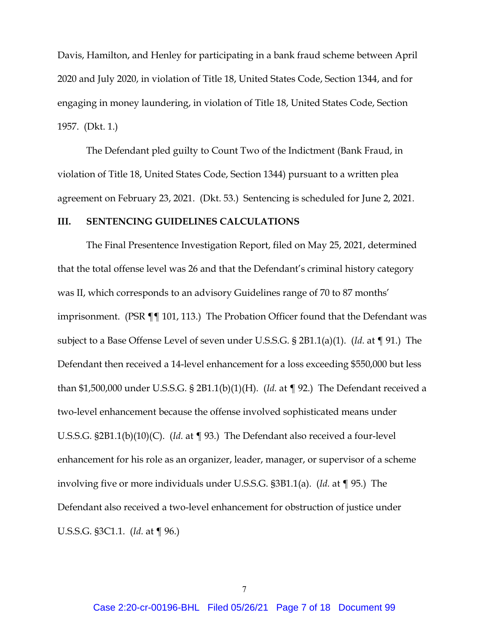Davis, Hamilton, and Henley for participating in a bank fraud scheme between April 2020 and July 2020, in violation of Title 18, United States Code, Section 1344, and for engaging in money laundering, in violation of Title 18, United States Code, Section 1957. (Dkt. 1.)

The Defendant pled guilty to Count Two of the Indictment (Bank Fraud, in violation of Title 18, United States Code, Section 1344) pursuant to a written plea agreement on February 23, 2021. (Dkt. 53.) Sentencing is scheduled for June 2, 2021.

#### **III. SENTENCING GUIDELINES CALCULATIONS**

The Final Presentence Investigation Report, filed on May 25, 2021, determined that the total offense level was 26 and that the Defendant's criminal history category was II, which corresponds to an advisory Guidelines range of 70 to 87 months' imprisonment. (PSR ¶¶ 101, 113.) The Probation Officer found that the Defendant was subject to a Base Offense Level of seven under U.S.S.G. § 2B1.1(a)(1). (*Id.* at ¶ 91.) The Defendant then received a 14-level enhancement for a loss exceeding \$550,000 but less than \$1,500,000 under U.S.S.G. § 2B1.1(b)(1)(H). (*Id.* at ¶ 92.) The Defendant received a two-level enhancement because the offense involved sophisticated means under U.S.S.G. §2B1.1(b)(10)(C). (*Id.* at ¶ 93.) The Defendant also received a four-level enhancement for his role as an organizer, leader, manager, or supervisor of a scheme involving five or more individuals under U.S.S.G. §3B1.1(a). (*Id.* at ¶ 95.) The Defendant also received a two-level enhancement for obstruction of justice under U.S.S.G. §3C1.1. (*Id.* at ¶ 96.)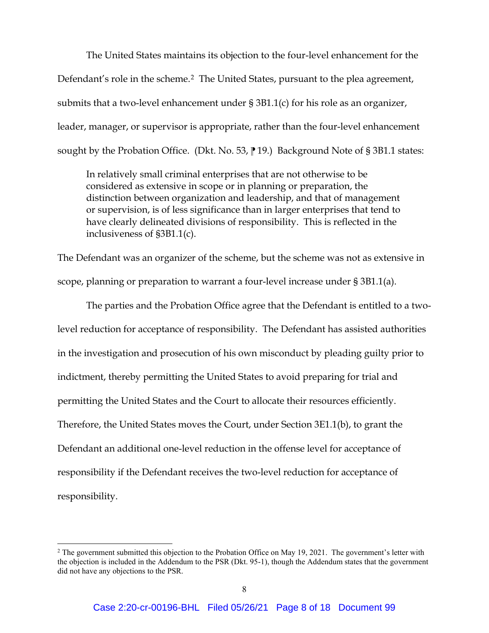The United States maintains its objection to the four-level enhancement for the Defendant's role in the scheme.<sup>[2](#page-7-0)</sup> The United States, pursuant to the plea agreement, submits that a two-level enhancement under § 3B1.1(c) for his role as an organizer, leader, manager, or supervisor is appropriate, rather than the four-level enhancement sought by the Probation Office. (Dkt. No. 53,  $\parallel$  19.) Background Note of § 3B1.1 states:

In relatively small criminal enterprises that are not otherwise to be considered as extensive in scope or in planning or preparation, the distinction between organization and leadership, and that of management or supervision, is of less significance than in larger enterprises that tend to have clearly delineated divisions of responsibility. This is reflected in the inclusiveness of §3B1.1(c).

The Defendant was an organizer of the scheme, but the scheme was not as extensive in scope, planning or preparation to warrant a four-level increase under § 3B1.1(a).

The parties and the Probation Office agree that the Defendant is entitled to a twolevel reduction for acceptance of responsibility. The Defendant has assisted authorities in the investigation and prosecution of his own misconduct by pleading guilty prior to indictment, thereby permitting the United States to avoid preparing for trial and permitting the United States and the Court to allocate their resources efficiently. Therefore, the United States moves the Court, under Section 3E1.1(b), to grant the Defendant an additional one-level reduction in the offense level for acceptance of responsibility if the Defendant receives the two-level reduction for acceptance of responsibility.

<span id="page-7-0"></span><sup>&</sup>lt;sup>2</sup> The government submitted this objection to the Probation Office on May 19, 2021. The government's letter with the objection is included in the Addendum to the PSR (Dkt. 95-1), though the Addendum states that the government did not have any objections to the PSR.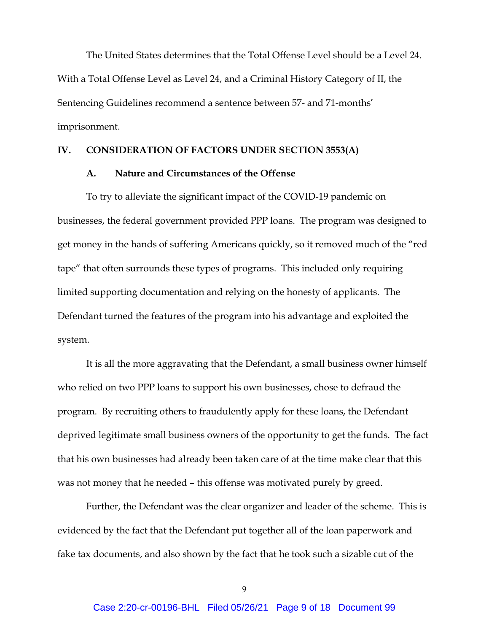The United States determines that the Total Offense Level should be a Level 24. With a Total Offense Level as Level 24, and a Criminal History Category of II, the Sentencing Guidelines recommend a sentence between 57- and 71-months' imprisonment.

### **IV. CONSIDERATION OF FACTORS UNDER SECTION 3553(A)**

#### **A. Nature and Circumstances of the Offense**

To try to alleviate the significant impact of the COVID-19 pandemic on businesses, the federal government provided PPP loans. The program was designed to get money in the hands of suffering Americans quickly, so it removed much of the "red tape" that often surrounds these types of programs. This included only requiring limited supporting documentation and relying on the honesty of applicants. The Defendant turned the features of the program into his advantage and exploited the system.

It is all the more aggravating that the Defendant, a small business owner himself who relied on two PPP loans to support his own businesses, chose to defraud the program. By recruiting others to fraudulently apply for these loans, the Defendant deprived legitimate small business owners of the opportunity to get the funds. The fact that his own businesses had already been taken care of at the time make clear that this was not money that he needed – this offense was motivated purely by greed.

Further, the Defendant was the clear organizer and leader of the scheme. This is evidenced by the fact that the Defendant put together all of the loan paperwork and fake tax documents, and also shown by the fact that he took such a sizable cut of the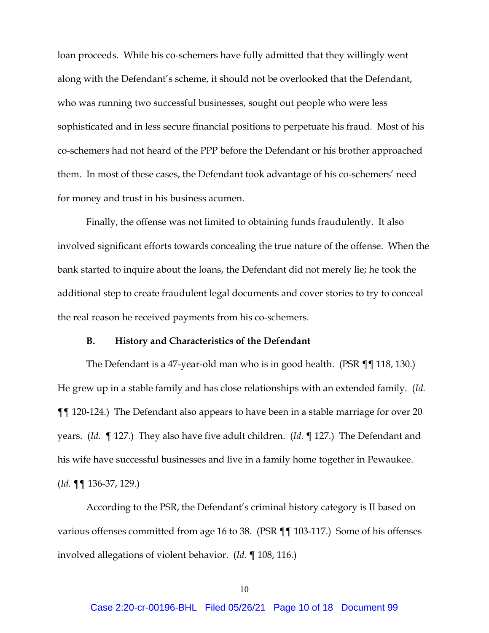loan proceeds. While his co-schemers have fully admitted that they willingly went along with the Defendant's scheme, it should not be overlooked that the Defendant, who was running two successful businesses, sought out people who were less sophisticated and in less secure financial positions to perpetuate his fraud. Most of his co-schemers had not heard of the PPP before the Defendant or his brother approached them. In most of these cases, the Defendant took advantage of his co-schemers' need for money and trust in his business acumen.

Finally, the offense was not limited to obtaining funds fraudulently. It also involved significant efforts towards concealing the true nature of the offense. When the bank started to inquire about the loans, the Defendant did not merely lie; he took the additional step to create fraudulent legal documents and cover stories to try to conceal the real reason he received payments from his co-schemers.

#### **B. History and Characteristics of the Defendant**

The Defendant is a 47-year-old man who is in good health. (PSR ¶¶ 118, 130.) He grew up in a stable family and has close relationships with an extended family. (*Id.* ¶¶ 120-124.) The Defendant also appears to have been in a stable marriage for over 20 years. (*Id.* ¶ 127.) They also have five adult children. (*Id.* ¶ 127.) The Defendant and his wife have successful businesses and live in a family home together in Pewaukee. (*Id.* ¶¶ 136-37, 129.)

According to the PSR, the Defendant's criminal history category is II based on various offenses committed from age 16 to 38. (PSR ¶¶ 103-117.) Some of his offenses involved allegations of violent behavior. (*Id.* ¶ 108, 116.)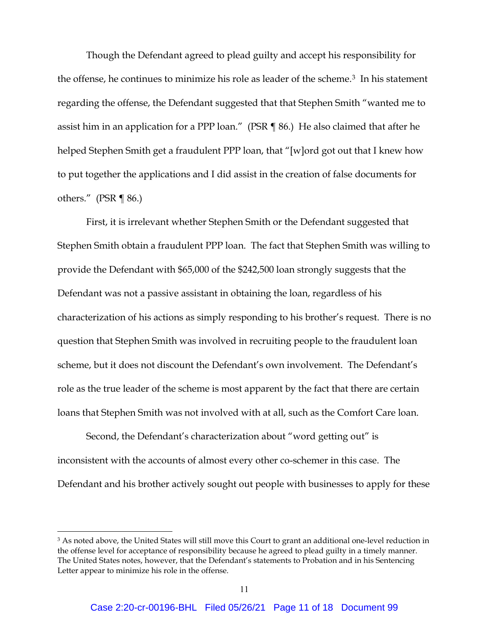Though the Defendant agreed to plead guilty and accept his responsibility for the offense, he continues to minimize his role as leader of the scheme.[3](#page-10-0) In his statement regarding the offense, the Defendant suggested that that Stephen Smith "wanted me to assist him in an application for a PPP loan." (PSR ¶ 86.) He also claimed that after he helped Stephen Smith get a fraudulent PPP loan, that "[w]ord got out that I knew how to put together the applications and I did assist in the creation of false documents for others." (PSR ¶ 86.)

First, it is irrelevant whether Stephen Smith or the Defendant suggested that Stephen Smith obtain a fraudulent PPP loan. The fact that Stephen Smith was willing to provide the Defendant with \$65,000 of the \$242,500 loan strongly suggests that the Defendant was not a passive assistant in obtaining the loan, regardless of his characterization of his actions as simply responding to his brother's request. There is no question that Stephen Smith was involved in recruiting people to the fraudulent loan scheme, but it does not discount the Defendant's own involvement. The Defendant's role as the true leader of the scheme is most apparent by the fact that there are certain loans that Stephen Smith was not involved with at all, such as the Comfort Care loan.

Second, the Defendant's characterization about "word getting out" is inconsistent with the accounts of almost every other co-schemer in this case. The Defendant and his brother actively sought out people with businesses to apply for these

<span id="page-10-0"></span><sup>&</sup>lt;sup>3</sup> As noted above, the United States will still move this Court to grant an additional one-level reduction in the offense level for acceptance of responsibility because he agreed to plead guilty in a timely manner. The United States notes, however, that the Defendant's statements to Probation and in his Sentencing Letter appear to minimize his role in the offense.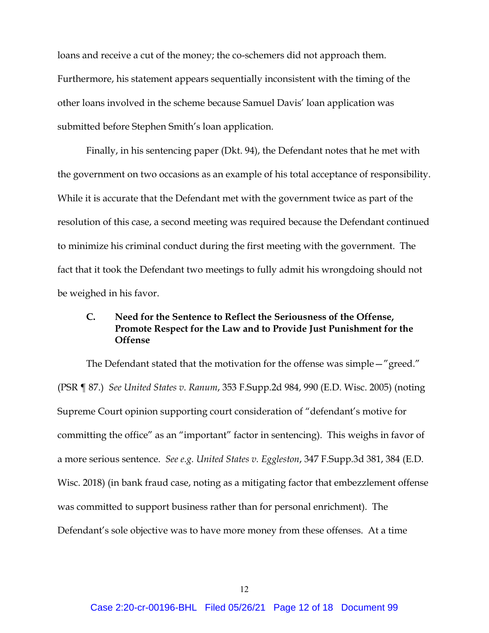loans and receive a cut of the money; the co-schemers did not approach them. Furthermore, his statement appears sequentially inconsistent with the timing of the other loans involved in the scheme because Samuel Davis' loan application was submitted before Stephen Smith's loan application.

Finally, in his sentencing paper (Dkt. 94), the Defendant notes that he met with the government on two occasions as an example of his total acceptance of responsibility. While it is accurate that the Defendant met with the government twice as part of the resolution of this case, a second meeting was required because the Defendant continued to minimize his criminal conduct during the first meeting with the government. The fact that it took the Defendant two meetings to fully admit his wrongdoing should not be weighed in his favor.

## **C. Need for the Sentence to Reflect the Seriousness of the Offense, Promote Respect for the Law and to Provide Just Punishment for the Offense**

The Defendant stated that the motivation for the offense was simple—"greed." (PSR ¶ 87.) *See United States v. Ranum*, 353 F.Supp.2d 984, 990 (E.D. Wisc. 2005) (noting Supreme Court opinion supporting court consideration of "defendant's motive for committing the office" as an "important" factor in sentencing). This weighs in favor of a more serious sentence. *See e.g. United States v. Eggleston*, 347 F.Supp.3d 381, 384 (E.D. Wisc. 2018) (in bank fraud case, noting as a mitigating factor that embezzlement offense was committed to support business rather than for personal enrichment). The Defendant's sole objective was to have more money from these offenses. At a time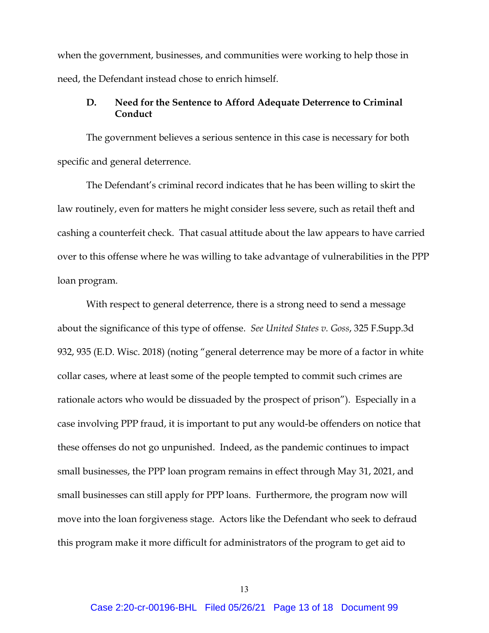when the government, businesses, and communities were working to help those in need, the Defendant instead chose to enrich himself.

### **D. Need for the Sentence to Afford Adequate Deterrence to Criminal Conduct**

The government believes a serious sentence in this case is necessary for both specific and general deterrence.

The Defendant's criminal record indicates that he has been willing to skirt the law routinely, even for matters he might consider less severe, such as retail theft and cashing a counterfeit check. That casual attitude about the law appears to have carried over to this offense where he was willing to take advantage of vulnerabilities in the PPP loan program.

With respect to general deterrence, there is a strong need to send a message about the significance of this type of offense. *See United States v. Goss*, 325 F.Supp.3d 932, 935 (E.D. Wisc. 2018) (noting "general deterrence may be more of a factor in white collar cases, where at least some of the people tempted to commit such crimes are rationale actors who would be dissuaded by the prospect of prison"). Especially in a case involving PPP fraud, it is important to put any would-be offenders on notice that these offenses do not go unpunished. Indeed, as the pandemic continues to impact small businesses, the PPP loan program remains in effect through May 31, 2021, and small businesses can still apply for PPP loans. Furthermore, the program now will move into the loan forgiveness stage. Actors like the Defendant who seek to defraud this program make it more difficult for administrators of the program to get aid to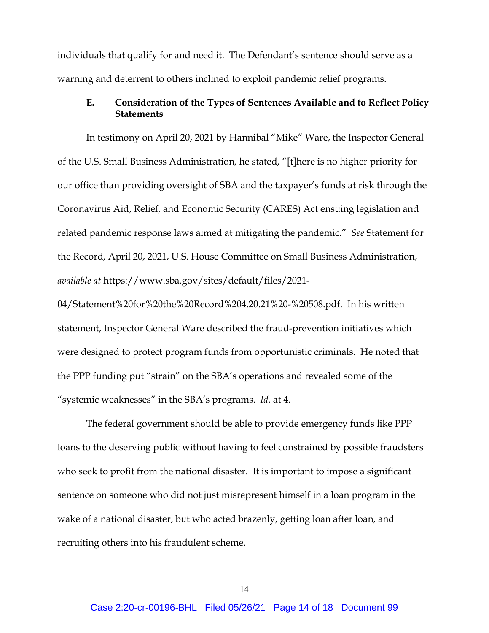individuals that qualify for and need it. The Defendant's sentence should serve as a warning and deterrent to others inclined to exploit pandemic relief programs.

## **E. Consideration of the Types of Sentences Available and to Reflect Policy Statements**

In testimony on April 20, 2021 by Hannibal "Mike" Ware, the Inspector General of the U.S. Small Business Administration, he stated, "[t]here is no higher priority for our office than providing oversight of SBA and the taxpayer's funds at risk through the Coronavirus Aid, Relief, and Economic Security (CARES) Act ensuing legislation and related pandemic response laws aimed at mitigating the pandemic." *See* Statement for the Record, April 20, 2021, U.S. House Committee on Small Business Administration, *available at* https://www.sba.gov/sites/default/files/2021-

04/Statement%20for%20the%20Record%204.20.21%20-%20508.pdf. In his written statement, Inspector General Ware described the fraud-prevention initiatives which were designed to protect program funds from opportunistic criminals. He noted that the PPP funding put "strain" on the SBA's operations and revealed some of the "systemic weaknesses" in the SBA's programs. *Id.* at 4.

The federal government should be able to provide emergency funds like PPP loans to the deserving public without having to feel constrained by possible fraudsters who seek to profit from the national disaster. It is important to impose a significant sentence on someone who did not just misrepresent himself in a loan program in the wake of a national disaster, but who acted brazenly, getting loan after loan, and recruiting others into his fraudulent scheme.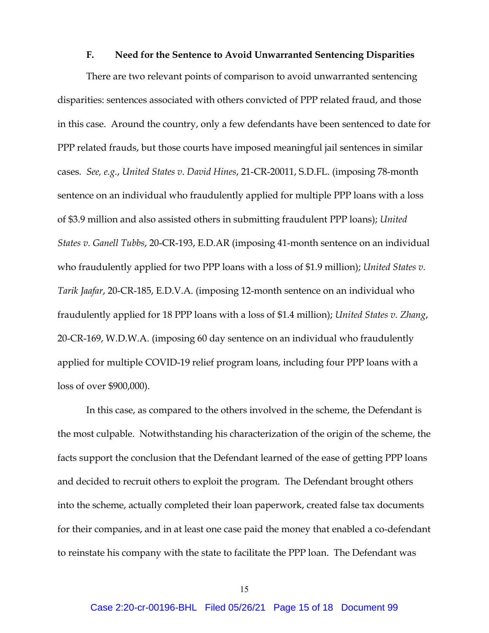#### **F. Need for the Sentence to Avoid Unwarranted Sentencing Disparities**

There are two relevant points of comparison to avoid unwarranted sentencing disparities: sentences associated with others convicted of PPP related fraud, and those in this case. Around the country, only a few defendants have been sentenced to date for PPP related frauds, but those courts have imposed meaningful jail sentences in similar cases. *See, e.g.*, *United States v. David Hines*, 21-CR-20011, S.D.FL. (imposing 78-month sentence on an individual who fraudulently applied for multiple PPP loans with a loss of \$3.9 million and also assisted others in submitting fraudulent PPP loans); *United States v. Ganell Tubbs*, 20-CR-193, E.D.AR (imposing 41-month sentence on an individual who fraudulently applied for two PPP loans with a loss of \$1.9 million); *United States v. Tarik Jaafar*, 20-CR-185, E.D.V.A. (imposing 12-month sentence on an individual who fraudulently applied for 18 PPP loans with a loss of \$1.4 million); *United States v. Zhang*, 20-CR-169, W.D.W.A. (imposing 60 day sentence on an individual who fraudulently applied for multiple COVID-19 relief program loans, including four PPP loans with a loss of over \$900,000).

In this case, as compared to the others involved in the scheme, the Defendant is the most culpable. Notwithstanding his characterization of the origin of the scheme, the facts support the conclusion that the Defendant learned of the ease of getting PPP loans and decided to recruit others to exploit the program. The Defendant brought others into the scheme, actually completed their loan paperwork, created false tax documents for their companies, and in at least one case paid the money that enabled a co-defendant to reinstate his company with the state to facilitate the PPP loan. The Defendant was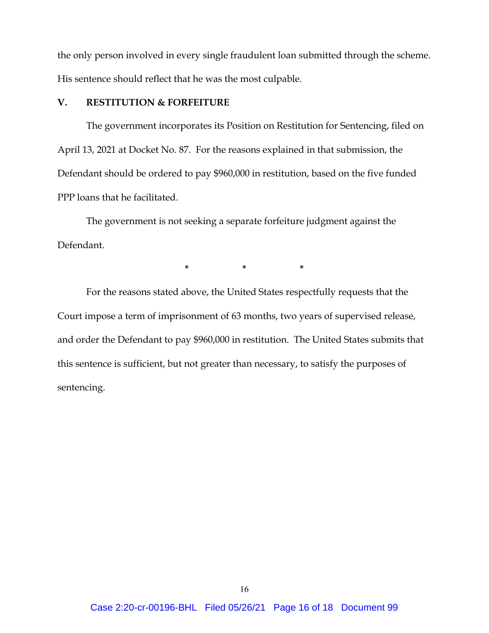the only person involved in every single fraudulent loan submitted through the scheme. His sentence should reflect that he was the most culpable.

### **V. RESTITUTION & FORFEITURE**

The government incorporates its Position on Restitution for Sentencing, filed on April 13, 2021 at Docket No. 87. For the reasons explained in that submission, the Defendant should be ordered to pay \$960,000 in restitution, based on the five funded PPP loans that he facilitated.

The government is not seeking a separate forfeiture judgment against the Defendant.

**\* \* \***

For the reasons stated above, the United States respectfully requests that the Court impose a term of imprisonment of 63 months, two years of supervised release, and order the Defendant to pay \$960,000 in restitution. The United States submits that this sentence is sufficient, but not greater than necessary, to satisfy the purposes of sentencing.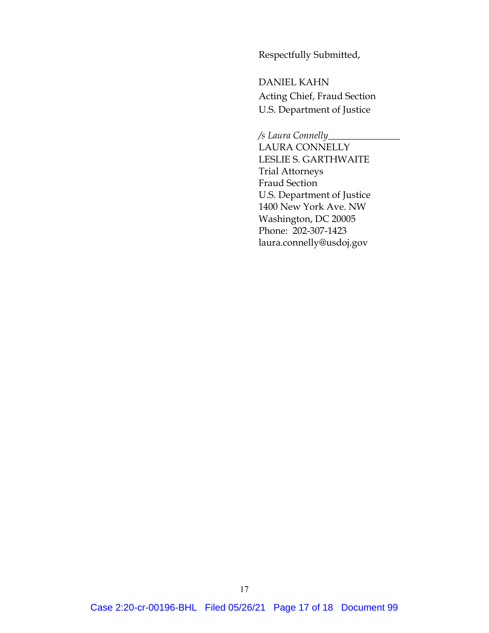Respectfully Submitted,

DANIEL KAHN Acting Chief, Fraud Section U.S. Department of Justice

*/s Laura Connelly*\_\_\_\_\_\_\_\_\_\_\_\_\_\_\_

LAURA CONNELLY LESLIE S. GARTHWAITE Trial Attorneys Fraud Section U.S. Department of Justice 1400 New York Ave. NW Washington, DC 20005 Phone: 202-307-1423 laura.connelly@usdoj.gov